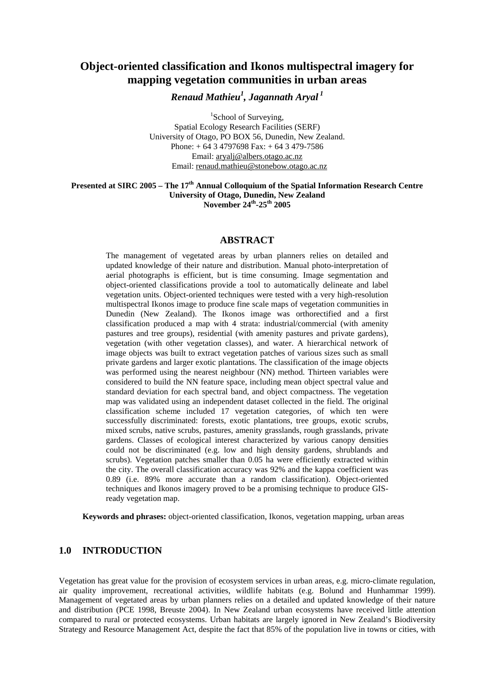# **Object-oriented classification and Ikonos multispectral imagery for mapping vegetation communities in urban areas**

*Renaud Mathieu1 , Jagannath Aryal<sup>1</sup>*

<sup>1</sup>School of Surveying, Spatial Ecology Research Facilities (SERF) University of Otago, PO BOX 56, Dunedin, New Zealand. Phone: + 64 3 4797698 Fax: + 64 3 479-7586 Email: aryalj@albers.otago.ac.nz Email: renaud.mathieu@stonebow.otago.ac.nz

#### **Presented at SIRC 2005 – The 17th Annual Colloquium of the Spatial Information Research Centre University of Otago, Dunedin, New Zealand November 24th-25th 2005**

#### **ABSTRACT**

The management of vegetated areas by urban planners relies on detailed and updated knowledge of their nature and distribution. Manual photo-interpretation of aerial photographs is efficient, but is time consuming. Image segmentation and object-oriented classifications provide a tool to automatically delineate and label vegetation units. Object-oriented techniques were tested with a very high-resolution multispectral Ikonos image to produce fine scale maps of vegetation communities in Dunedin (New Zealand). The Ikonos image was orthorectified and a first classification produced a map with 4 strata: industrial/commercial (with amenity pastures and tree groups), residential (with amenity pastures and private gardens), vegetation (with other vegetation classes), and water. A hierarchical network of image objects was built to extract vegetation patches of various sizes such as small private gardens and larger exotic plantations. The classification of the image objects was performed using the nearest neighbour (NN) method. Thirteen variables were considered to build the NN feature space, including mean object spectral value and standard deviation for each spectral band, and object compactness. The vegetation map was validated using an independent dataset collected in the field. The original classification scheme included 17 vegetation categories, of which ten were successfully discriminated: forests, exotic plantations, tree groups, exotic scrubs, mixed scrubs, native scrubs, pastures, amenity grasslands, rough grasslands, private gardens. Classes of ecological interest characterized by various canopy densities could not be discriminated (e.g. low and high density gardens, shrublands and scrubs). Vegetation patches smaller than 0.05 ha were efficiently extracted within the city. The overall classification accuracy was 92% and the kappa coefficient was 0.89 (i.e. 89% more accurate than a random classification). Object-oriented techniques and Ikonos imagery proved to be a promising technique to produce GISready vegetation map.

**Keywords and phrases:** object-oriented classification, Ikonos, vegetation mapping, urban areas

# **1.0 INTRODUCTION**

Vegetation has great value for the provision of ecosystem services in urban areas, e.g. micro-climate regulation, air quality improvement, recreational activities, wildlife habitats (e.g. Bolund and Hunhammar 1999). Management of vegetated areas by urban planners relies on a detailed and updated knowledge of their nature and distribution (PCE 1998, Breuste 2004). In New Zealand urban ecosystems have received little attention compared to rural or protected ecosystems. Urban habitats are largely ignored in New Zealand's Biodiversity Strategy and Resource Management Act, despite the fact that 85% of the population live in towns or cities, with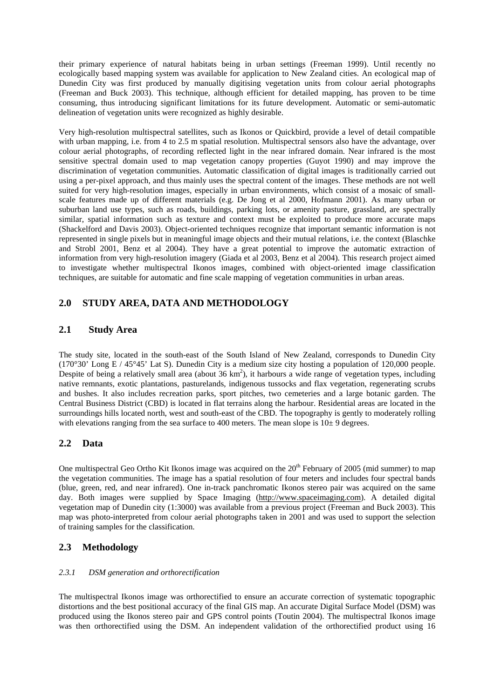their primary experience of natural habitats being in urban settings (Freeman 1999). Until recently no ecologically based mapping system was available for application to New Zealand cities. An ecological map of Dunedin City was first produced by manually digitising vegetation units from colour aerial photographs (Freeman and Buck 2003). This technique, although efficient for detailed mapping, has proven to be time consuming, thus introducing significant limitations for its future development. Automatic or semi-automatic delineation of vegetation units were recognized as highly desirable.

Very high-resolution multispectral satellites, such as Ikonos or Quickbird, provide a level of detail compatible with urban mapping, i.e. from 4 to 2.5 m spatial resolution. Multispectral sensors also have the advantage, over colour aerial photographs, of recording reflected light in the near infrared domain. Near infrared is the most sensitive spectral domain used to map vegetation canopy properties (Guyot 1990) and may improve the discrimination of vegetation communities. Automatic classification of digital images is traditionally carried out using a per-pixel approach, and thus mainly uses the spectral content of the images. These methods are not well suited for very high-resolution images, especially in urban environments, which consist of a mosaic of smallscale features made up of different materials (e.g. De Jong et al 2000, Hofmann 2001). As many urban or suburban land use types, such as roads, buildings, parking lots, or amenity pasture, grassland, are spectrally similar, spatial information such as texture and context must be exploited to produce more accurate maps (Shackelford and Davis 2003). Object-oriented techniques recognize that important semantic information is not represented in single pixels but in meaningful image objects and their mutual relations, i.e. the context (Blaschke and Strobl 2001, Benz et al 2004). They have a great potential to improve the automatic extraction of information from very high-resolution imagery (Giada et al 2003, Benz et al 2004). This research project aimed to investigate whether multispectral Ikonos images, combined with object-oriented image classification techniques, are suitable for automatic and fine scale mapping of vegetation communities in urban areas.

# **2.0 STUDY AREA, DATA AND METHODOLOGY**

# **2.1 Study Area**

The study site, located in the south-east of the South Island of New Zealand, corresponds to Dunedin City (170°30' Long E / 45°45' Lat S). Dunedin City is a medium size city hosting a population of 120,000 people. Despite of being a relatively small area (about  $36 \text{ km}^2$ ), it harbours a wide range of vegetation types, including native remnants, exotic plantations, pasturelands, indigenous tussocks and flax vegetation, regenerating scrubs and bushes. It also includes recreation parks, sport pitches, two cemeteries and a large botanic garden. The Central Business District (CBD) is located in flat terrains along the harbour. Residential areas are located in the surroundings hills located north, west and south-east of the CBD. The topography is gently to moderately rolling with elevations ranging from the sea surface to 400 meters. The mean slope is  $10±9$  degrees.

# **2.2 Data**

One multispectral Geo Ortho Kit Ikonos image was acquired on the  $20<sup>th</sup>$  February of 2005 (mid summer) to map the vegetation communities. The image has a spatial resolution of four meters and includes four spectral bands (blue, green, red, and near infrared). One in-track panchromatic Ikonos stereo pair was acquired on the same day. Both images were supplied by Space Imaging (http://www.spaceimaging.com). A detailed digital vegetation map of Dunedin city (1:3000) was available from a previous project (Freeman and Buck 2003). This map was photo-interpreted from colour aerial photographs taken in 2001 and was used to support the selection of training samples for the classification.

# **2.3 Methodology**

### *2.3.1 DSM generation and orthorectification*

The multispectral Ikonos image was orthorectified to ensure an accurate correction of systematic topographic distortions and the best positional accuracy of the final GIS map. An accurate Digital Surface Model (DSM) was produced using the Ikonos stereo pair and GPS control points (Toutin 2004). The multispectral Ikonos image was then orthorectified using the DSM. An independent validation of the orthorectified product using 16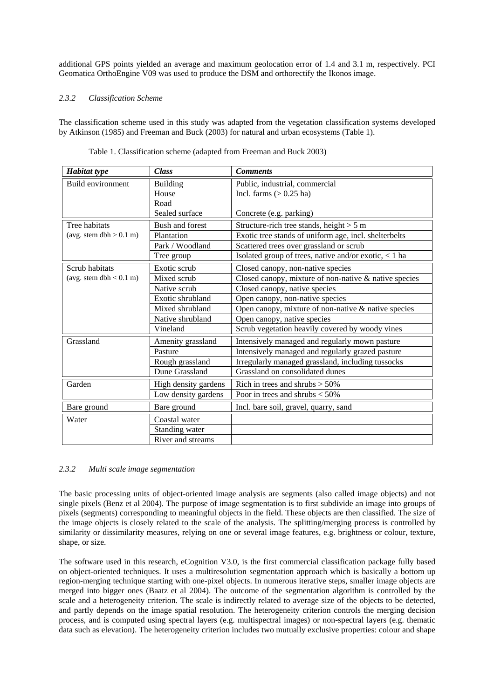additional GPS points yielded an average and maximum geolocation error of 1.4 and 3.1 m, respectively. PCI Geomatica OrthoEngine V09 was used to produce the DSM and orthorectify the Ikonos image.

### *2.3.2 Classification Scheme*

The classification scheme used in this study was adapted from the vegetation classification systems developed by Atkinson (1985) and Freeman and Buck (2003) for natural and urban ecosystems (Table 1).

| <b>Habitat type</b>       | <b>Class</b>         | <b>Comments</b>                                       |
|---------------------------|----------------------|-------------------------------------------------------|
| Build environment         | <b>Building</b>      | Public, industrial, commercial                        |
|                           | House                | Incl. farms $(> 0.25$ ha)                             |
|                           | Road                 |                                                       |
|                           | Sealed surface       | Concrete (e.g. parking)                               |
| Tree habitats             | Bush and forest      | Structure-rich tree stands, height $> 5$ m            |
| (avg. stem dbh $> 0.1$ m) | Plantation           | Exotic tree stands of uniform age, incl. shelterbelts |
|                           | Park / Woodland      | Scattered trees over grassland or scrub               |
|                           | Tree group           | Isolated group of trees, native and/or exotic, < 1 ha |
| Scrub habitats            | Exotic scrub         | Closed canopy, non-native species                     |
| (avg. stem dbh $< 0.1$ m) | Mixed scrub          | Closed canopy, mixture of non-native & native species |
|                           | Native scrub         | Closed canopy, native species                         |
|                           | Exotic shrubland     | Open canopy, non-native species                       |
|                           | Mixed shrubland      | Open canopy, mixture of non-native & native species   |
|                           | Native shrubland     | Open canopy, native species                           |
|                           | Vineland             | Scrub vegetation heavily covered by woody vines       |
| Grassland                 | Amenity grassland    | Intensively managed and regularly mown pasture        |
|                           | Pasture              | Intensively managed and regularly grazed pasture      |
|                           | Rough grassland      | Irregularly managed grassland, including tussocks     |
|                           | Dune Grassland       | Grassland on consolidated dunes                       |
| Garden                    | High density gardens | Rich in trees and shrubs $> 50\%$                     |
|                           | Low density gardens  | Poor in trees and shrubs $<$ 50%                      |
| Bare ground               | Bare ground          | Incl. bare soil, gravel, quarry, sand                 |
| Water                     | Coastal water        |                                                       |
|                           | Standing water       |                                                       |
|                           | River and streams    |                                                       |

Table 1. Classification scheme (adapted from Freeman and Buck 2003)

### *2.3.2 Multi scale image segmentation*

The basic processing units of object-oriented image analysis are segments (also called image objects) and not single pixels (Benz et al 2004). The purpose of image segmentation is to first subdivide an image into groups of pixels (segments) corresponding to meaningful objects in the field. These objects are then classified. The size of the image objects is closely related to the scale of the analysis. The splitting/merging process is controlled by similarity or dissimilarity measures, relying on one or several image features, e.g. brightness or colour, texture, shape, or size.

The software used in this research, eCognition V3.0, is the first commercial classification package fully based on object-oriented techniques. It uses a multiresolution segmentation approach which is basically a bottom up region-merging technique starting with one-pixel objects. In numerous iterative steps, smaller image objects are merged into bigger ones (Baatz et al 2004). The outcome of the segmentation algorithm is controlled by the scale and a heterogeneity criterion. The scale is indirectly related to average size of the objects to be detected, and partly depends on the image spatial resolution. The heterogeneity criterion controls the merging decision process, and is computed using spectral layers (e.g. multispectral images) or non-spectral layers (e.g. thematic data such as elevation). The heterogeneity criterion includes two mutually exclusive properties: colour and shape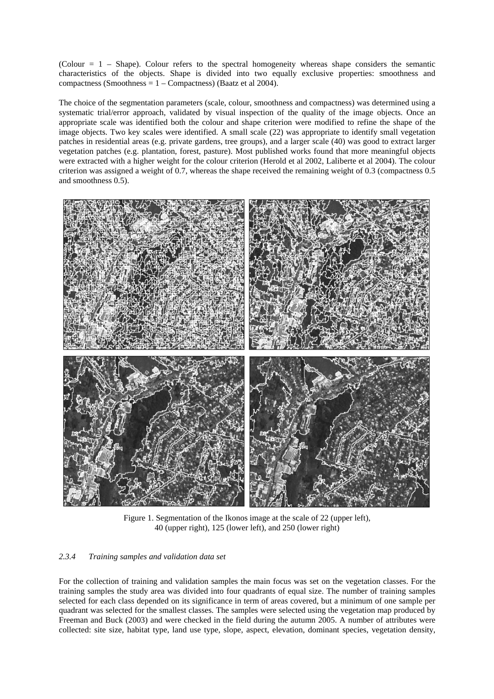(Colour = 1 – Shape). Colour refers to the spectral homogeneity whereas shape considers the semantic characteristics of the objects. Shape is divided into two equally exclusive properties: smoothness and compactness (Smoothness  $= 1 -$ Compactness) (Baatz et al 2004).

The choice of the segmentation parameters (scale, colour, smoothness and compactness) was determined using a systematic trial/error approach, validated by visual inspection of the quality of the image objects. Once an appropriate scale was identified both the colour and shape criterion were modified to refine the shape of the image objects. Two key scales were identified. A small scale (22) was appropriate to identify small vegetation patches in residential areas (e.g. private gardens, tree groups), and a larger scale (40) was good to extract larger vegetation patches (e.g. plantation, forest, pasture). Most published works found that more meaningful objects were extracted with a higher weight for the colour criterion (Herold et al 2002, Laliberte et al 2004). The colour criterion was assigned a weight of 0.7, whereas the shape received the remaining weight of 0.3 (compactness 0.5 and smoothness 0.5).



Figure 1. Segmentation of the Ikonos image at the scale of 22 (upper left), 40 (upper right), 125 (lower left), and 250 (lower right)

#### *2.3.4 Training samples and validation data set*

For the collection of training and validation samples the main focus was set on the vegetation classes. For the training samples the study area was divided into four quadrants of equal size. The number of training samples selected for each class depended on its significance in term of areas covered, but a minimum of one sample per quadrant was selected for the smallest classes. The samples were selected using the vegetation map produced by Freeman and Buck (2003) and were checked in the field during the autumn 2005. A number of attributes were collected: site size, habitat type, land use type, slope, aspect, elevation, dominant species, vegetation density,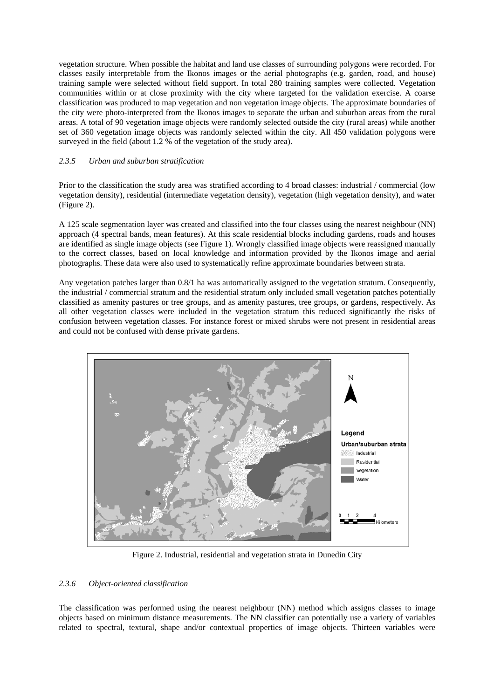vegetation structure. When possible the habitat and land use classes of surrounding polygons were recorded. For classes easily interpretable from the Ikonos images or the aerial photographs (e.g. garden, road, and house) training sample were selected without field support. In total 280 training samples were collected. Vegetation communities within or at close proximity with the city where targeted for the validation exercise. A coarse classification was produced to map vegetation and non vegetation image objects. The approximate boundaries of the city were photo-interpreted from the Ikonos images to separate the urban and suburban areas from the rural areas. A total of 90 vegetation image objects were randomly selected outside the city (rural areas) while another set of 360 vegetation image objects was randomly selected within the city. All 450 validation polygons were surveyed in the field (about 1.2 % of the vegetation of the study area).

### *2.3.5 Urban and suburban stratification*

Prior to the classification the study area was stratified according to 4 broad classes: industrial / commercial (low vegetation density), residential (intermediate vegetation density), vegetation (high vegetation density), and water (Figure 2).

A 125 scale segmentation layer was created and classified into the four classes using the nearest neighbour (NN) approach (4 spectral bands, mean features). At this scale residential blocks including gardens, roads and houses are identified as single image objects (see Figure 1). Wrongly classified image objects were reassigned manually to the correct classes, based on local knowledge and information provided by the Ikonos image and aerial photographs. These data were also used to systematically refine approximate boundaries between strata.

Any vegetation patches larger than 0.8/1 ha was automatically assigned to the vegetation stratum. Consequently, the industrial / commercial stratum and the residential stratum only included small vegetation patches potentially classified as amenity pastures or tree groups, and as amenity pastures, tree groups, or gardens, respectively. As all other vegetation classes were included in the vegetation stratum this reduced significantly the risks of confusion between vegetation classes. For instance forest or mixed shrubs were not present in residential areas and could not be confused with dense private gardens.



Figure 2. Industrial, residential and vegetation strata in Dunedin City

### *2.3.6 Object-oriented classification*

The classification was performed using the nearest neighbour (NN) method which assigns classes to image objects based on minimum distance measurements. The NN classifier can potentially use a variety of variables related to spectral, textural, shape and/or contextual properties of image objects. Thirteen variables were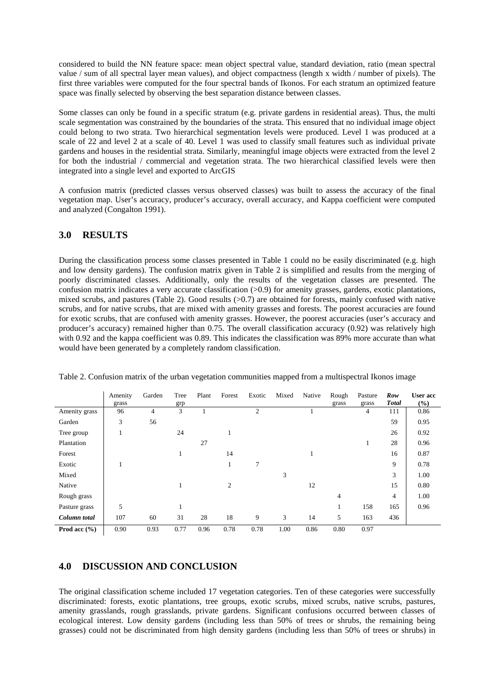considered to build the NN feature space: mean object spectral value, standard deviation, ratio (mean spectral value / sum of all spectral layer mean values), and object compactness (length x width / number of pixels). The first three variables were computed for the four spectral bands of Ikonos. For each stratum an optimized feature space was finally selected by observing the best separation distance between classes.

Some classes can only be found in a specific stratum (e.g. private gardens in residential areas). Thus, the multi scale segmentation was constrained by the boundaries of the strata. This ensured that no individual image object could belong to two strata. Two hierarchical segmentation levels were produced. Level 1 was produced at a scale of 22 and level 2 at a scale of 40. Level 1 was used to classify small features such as individual private gardens and houses in the residential strata. Similarly, meaningful image objects were extracted from the level 2 for both the industrial / commercial and vegetation strata. The two hierarchical classified levels were then integrated into a single level and exported to ArcGIS

A confusion matrix (predicted classes versus observed classes) was built to assess the accuracy of the final vegetation map. User's accuracy, producer's accuracy, overall accuracy, and Kappa coefficient were computed and analyzed (Congalton 1991).

# **3.0 RESULTS**

During the classification process some classes presented in Table 1 could no be easily discriminated (e.g. high and low density gardens). The confusion matrix given in Table 2 is simplified and results from the merging of poorly discriminated classes. Additionally, only the results of the vegetation classes are presented. The confusion matrix indicates a very accurate classification (>0.9) for amenity grasses, gardens, exotic plantations, mixed scrubs, and pastures (Table 2). Good results ( $>0.7$ ) are obtained for forests, mainly confused with native scrubs, and for native scrubs, that are mixed with amenity grasses and forests. The poorest accuracies are found for exotic scrubs, that are confused with amenity grasses. However, the poorest accuracies (user's accuracy and producer's accuracy) remained higher than 0.75. The overall classification accuracy (0.92) was relatively high with 0.92 and the kappa coefficient was 0.89. This indicates the classification was 89% more accurate than what would have been generated by a completely random classification.

|                  | Amenity<br>grass | Garden         | Tree<br>grp | Plant | Forest | Exotic         | Mixed | Native | Rough<br>grass | Pasture<br>grass | Row<br><b>Total</b> | <b>User</b> acc<br>(%) |
|------------------|------------------|----------------|-------------|-------|--------|----------------|-------|--------|----------------|------------------|---------------------|------------------------|
| Amenity grass    | 96               | $\overline{4}$ | 3           |       |        | $\overline{c}$ |       |        |                | 4                | 111                 | 0.86                   |
| Garden           | 3                | 56             |             |       |        |                |       |        |                |                  | 59                  | 0.95                   |
| Tree group       | -1               |                | 24          |       |        |                |       |        |                |                  | 26                  | 0.92                   |
| Plantation       |                  |                |             | 27    |        |                |       |        |                | 1                | 28                  | 0.96                   |
| Forest           |                  |                |             |       | 14     |                |       |        |                |                  | 16                  | 0.87                   |
| Exotic           | 1                |                |             |       |        | 7              |       |        |                |                  | 9                   | 0.78                   |
| Mixed            |                  |                |             |       |        |                | 3     |        |                |                  | 3                   | 1.00                   |
| Native           |                  |                |             |       | 2      |                |       | 12     |                |                  | 15                  | 0.80                   |
| Rough grass      |                  |                |             |       |        |                |       |        | 4              |                  | $\overline{4}$      | 1.00                   |
| Pasture grass    | 5                |                |             |       |        |                |       |        |                | 158              | 165                 | 0.96                   |
| Column total     | 107              | 60             | 31          | 28    | 18     | 9              | 3     | 14     | 5              | 163              | 436                 |                        |
| Prod acc $(\% )$ | 0.90             | 0.93           | 0.77        | 0.96  | 0.78   | 0.78           | 1.00  | 0.86   | 0.80           | 0.97             |                     |                        |

Table 2. Confusion matrix of the urban vegetation communities mapped from a multispectral Ikonos image

# **4.0 DISCUSSION AND CONCLUSION**

The original classification scheme included 17 vegetation categories. Ten of these categories were successfully discriminated: forests, exotic plantations, tree groups, exotic scrubs, mixed scrubs, native scrubs, pastures, amenity grasslands, rough grasslands, private gardens. Significant confusions occurred between classes of ecological interest. Low density gardens (including less than 50% of trees or shrubs, the remaining being grasses) could not be discriminated from high density gardens (including less than 50% of trees or shrubs) in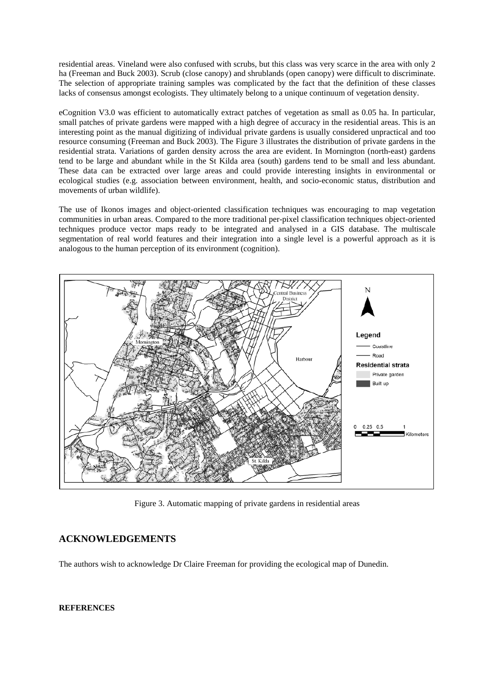residential areas. Vineland were also confused with scrubs, but this class was very scarce in the area with only 2 ha (Freeman and Buck 2003). Scrub (close canopy) and shrublands (open canopy) were difficult to discriminate. The selection of appropriate training samples was complicated by the fact that the definition of these classes lacks of consensus amongst ecologists. They ultimately belong to a unique continuum of vegetation density.

eCognition V3.0 was efficient to automatically extract patches of vegetation as small as 0.05 ha. In particular, small patches of private gardens were mapped with a high degree of accuracy in the residential areas. This is an interesting point as the manual digitizing of individual private gardens is usually considered unpractical and too resource consuming (Freeman and Buck 2003). The Figure 3 illustrates the distribution of private gardens in the residential strata. Variations of garden density across the area are evident. In Mornington (north-east) gardens tend to be large and abundant while in the St Kilda area (south) gardens tend to be small and less abundant. These data can be extracted over large areas and could provide interesting insights in environmental or ecological studies (e.g. association between environment, health, and socio-economic status, distribution and movements of urban wildlife).

The use of Ikonos images and object-oriented classification techniques was encouraging to map vegetation communities in urban areas. Compared to the more traditional per-pixel classification techniques object-oriented techniques produce vector maps ready to be integrated and analysed in a GIS database. The multiscale segmentation of real world features and their integration into a single level is a powerful approach as it is analogous to the human perception of its environment (cognition).



Figure 3. Automatic mapping of private gardens in residential areas

# **ACKNOWLEDGEMENTS**

The authors wish to acknowledge Dr Claire Freeman for providing the ecological map of Dunedin.

#### **REFERENCES**